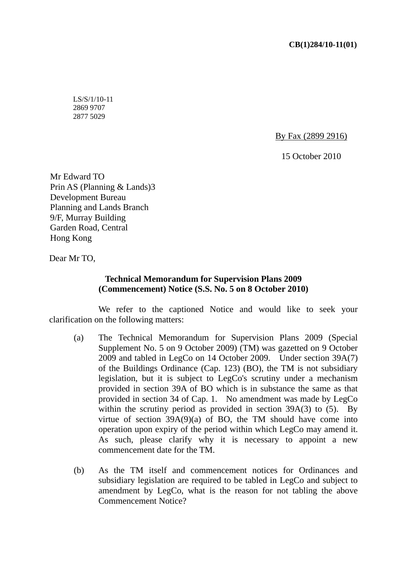LS/S/1/10-11 2869 9707 2877 5029

By Fax (2899 2916)

15 October 2010

Mr Edward TO Prin AS (Planning & Lands)3 Development Bureau Planning and Lands Branch 9/F, Murray Building Garden Road, Central Hong Kong

Dear Mr TO,

## **Technical Memorandum for Supervision Plans 2009 (Commencement) Notice (S.S. No. 5 on 8 October 2010)**

 We refer to the captioned Notice and would like to seek your clarification on the following matters:

- (a) The Technical Memorandum for Supervision Plans 2009 (Special Supplement No. 5 on 9 October 2009) (TM) was gazetted on 9 October 2009 and tabled in LegCo on 14 October 2009. Under section 39A(7) of the Buildings Ordinance (Cap. 123) (BO), the TM is not subsidiary legislation, but it is subject to LegCo's scrutiny under a mechanism provided in section 39A of BO which is in substance the same as that provided in section 34 of Cap. 1. No amendment was made by LegCo within the scrutiny period as provided in section 39A(3) to (5). By virtue of section  $39A(9)(a)$  of BO, the TM should have come into operation upon expiry of the period within which LegCo may amend it. As such, please clarify why it is necessary to appoint a new commencement date for the TM.
- (b) As the TM itself and commencement notices for Ordinances and subsidiary legislation are required to be tabled in LegCo and subject to amendment by LegCo, what is the reason for not tabling the above Commencement Notice?